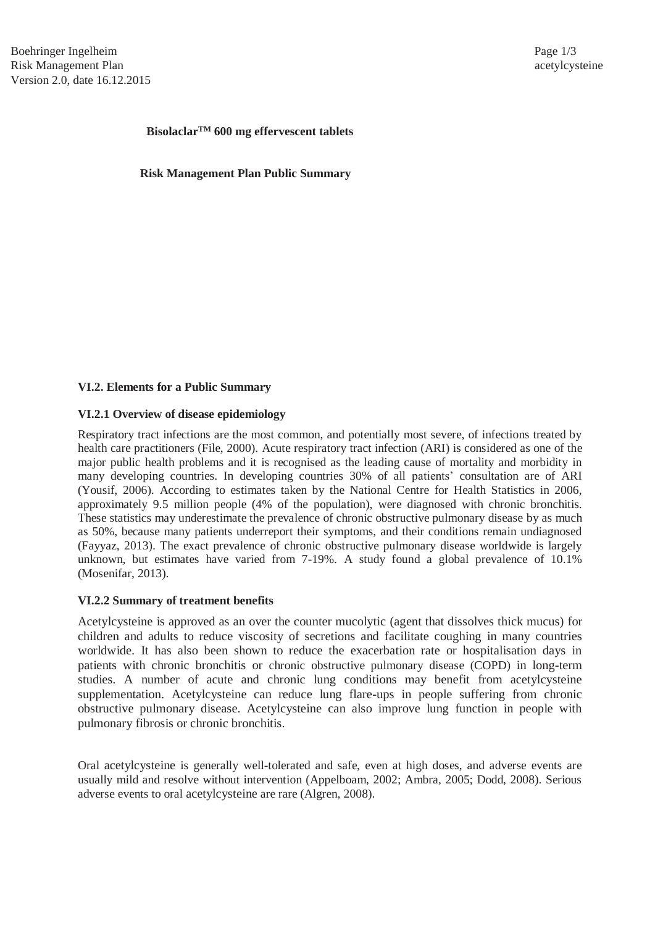# Bisolaclar<sup>TM</sup> 600 mg effervescent tablets

**and platelet-Risk Management Plan Public Summary** 

### **VI.2. Elements for a Public Summary**

### **VI.2.1 Overview of disease epidemiology**

Respiratory tract infections are the most common, and potentially most severe, of infections treated by health care practitioners (File, 2000). Acute respiratory tract infection (ARI) is considered as one of the major public health problems and it is recognised as the leading cause of mortality and morbidity in many developing countries. In developing countries 30% of all patients' consultation are of ARI (Yousif, 2006). According to estimates taken by the National Centre for Health Statistics in 2006, approximately 9.5 million people (4% of the population), were diagnosed with chronic bronchitis. These statistics may underestimate the prevalence of chronic obstructive pulmonary disease by as much as 50%, because many patients underreport their symptoms, and their conditions remain undiagnosed (Fayyaz, 2013). The exact prevalence of chronic obstructive pulmonary disease worldwide is largely unknown, but estimates have varied from 7-19%. A study found a global prevalence of 10.1% (Mosenifar, 2013).

### **VI.2.2 Summary of treatment benefits**

Acetylcysteine is approved as an over the counter mucolytic (agent that dissolves thick mucus) for children and adults to reduce viscosity of secretions and facilitate coughing in many countries worldwide. It has also been shown to reduce the exacerbation rate or hospitalisation days in patients with chronic bronchitis or chronic obstructive pulmonary disease (COPD) in long-term studies. A number of acute and chronic lung conditions may benefit from acetylcysteine supplementation. Acetylcysteine can reduce lung flare-ups in people suffering from chronic obstructive pulmonary disease. Acetylcysteine can also improve lung function in people with pulmonary fibrosis or chronic bronchitis.

Oral acetylcysteine is generally well-tolerated and safe, even at high doses, and adverse events are usually mild and resolve without intervention (Appelboam, 2002; Ambra, 2005; Dodd, 2008). Serious adverse events to oral acetylcysteine are rare (Algren, 2008).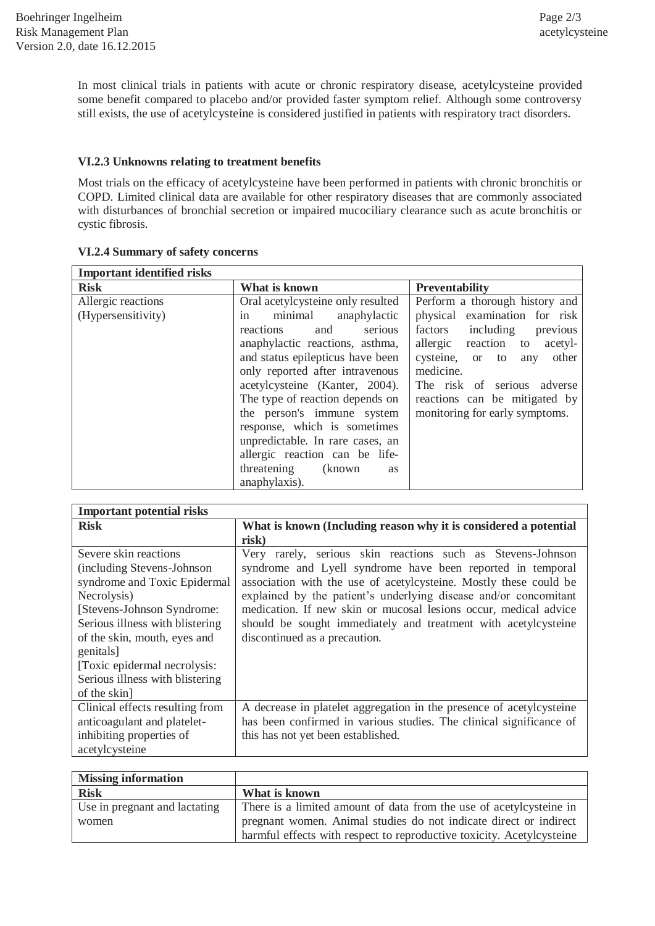In most clinical trials in patients with acute or chronic respiratory disease, acetylcysteine provided some benefit compared to placebo and/or provided faster symptom relief. Although some controversy still exists, the use of acetylcysteine is considered justified in patients with respiratory tract disorders.

## **VI.2.3 Unknowns relating to treatment benefits**

Most trials on the efficacy of acetylcysteine have been performed in patients with chronic bronchitis or COPD. Limited clinical data are available for other respiratory diseases that are commonly associated with disturbances of bronchial secretion or impaired mucociliary clearance such as acute bronchitis or cystic fibrosis.

#### **Important identified risks Risk What is known Preventability Preventability** Allergic reactions (Hypersensitivity) Oral acetylcysteine only resulted in minimal anaphylactic reactions and serious anaphylactic reactions, asthma, and status epilepticus have been only reported after intravenous acetylcysteine (Kanter, 2004). The type of reaction depends on the person's immune system response, which is sometimes unpredictable. In rare cases, an allergic reaction can be lifethreatening (known as anaphylaxis). Perform a thorough history and physical examination for risk factors including previous allergic reaction to acetylcysteine, or to any other medicine. The risk of serious adverse reactions can be mitigated by monitoring for early symptoms.

## **VI.2.4 Summary of safety concerns**

| <b>Important potential risks</b> |                                                                      |  |  |  |
|----------------------------------|----------------------------------------------------------------------|--|--|--|
| <b>Risk</b>                      | What is known (Including reason why it is considered a potential     |  |  |  |
|                                  | risk)                                                                |  |  |  |
| Severe skin reactions            | Very rarely, serious skin reactions such as Stevens-Johnson          |  |  |  |
| (including Stevens-Johnson)      | syndrome and Lyell syndrome have been reported in temporal           |  |  |  |
| syndrome and Toxic Epidermal     | association with the use of acetylcysteine. Mostly these could be    |  |  |  |
| Necrolysis)                      | explained by the patient's underlying disease and/or concomitant     |  |  |  |
| [Stevens-Johnson Syndrome:       | medication. If new skin or mucosal lesions occur, medical advice     |  |  |  |
| Serious illness with blistering  | should be sought immediately and treatment with acetylcysteine       |  |  |  |
| of the skin, mouth, eyes and     | discontinued as a precaution.                                        |  |  |  |
| genitals]                        |                                                                      |  |  |  |
| [Toxic epidermal necrolysis:     |                                                                      |  |  |  |
| Serious illness with blistering  |                                                                      |  |  |  |
| of the skin]                     |                                                                      |  |  |  |
| Clinical effects resulting from  | A decrease in platelet aggregation in the presence of acetylcysteine |  |  |  |
| anticoagulant and platelet-      | has been confirmed in various studies. The clinical significance of  |  |  |  |
| inhibiting properties of         | this has not yet been established.                                   |  |  |  |
| acetylcysteine                   |                                                                      |  |  |  |

| <b>Missing information</b>    |                                                                       |  |
|-------------------------------|-----------------------------------------------------------------------|--|
| <b>Risk</b>                   | What is known                                                         |  |
| Use in pregnant and lactating | There is a limited amount of data from the use of acetylcysteine in   |  |
| women                         | pregnant women. Animal studies do not indicate direct or indirect     |  |
|                               | harmful effects with respect to reproductive toxicity. Acetylcysteine |  |